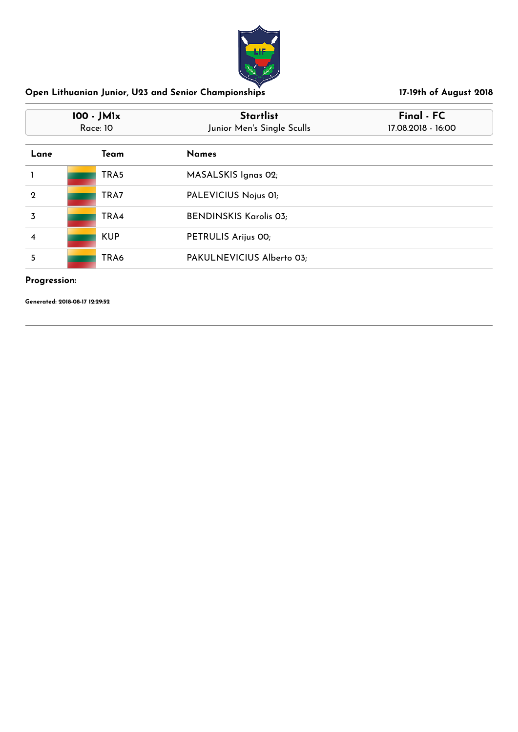

| 100 - JM1x<br><b>Race: 10</b> |            | <b>Startlist</b><br>Junior Men's Single Sculls | Final - FC<br>17.08.2018 - 16:00 |
|-------------------------------|------------|------------------------------------------------|----------------------------------|
| Lane                          | Team       | <b>Names</b>                                   |                                  |
|                               | TRA5       | MASALSKIS Ignas 02;                            |                                  |
| $\mathbf 2$                   | TRA7       | PALEVICIUS Nojus 01;                           |                                  |
| 3                             | TRA4       | <b>BENDINSKIS Karolis 03;</b>                  |                                  |
| 4                             | <b>KUP</b> | PETRULIS Arijus 00;                            |                                  |
| 5                             | TRA6       | PAKULNEVICIUS Alberto 03;                      |                                  |

## **Progression:**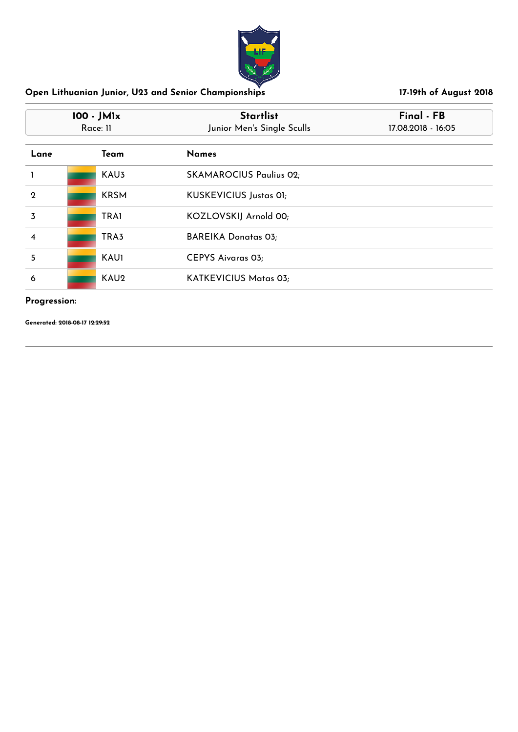

| 100 - JM1x<br>Race: 11 |                  | <b>Startlist</b><br>Junior Men's Single Sculls | Final - FB<br>17.08.2018 - 16:05 |
|------------------------|------------------|------------------------------------------------|----------------------------------|
| Lane                   | Team             | <b>Names</b>                                   |                                  |
|                        | KAU <sub>3</sub> | <b>SKAMAROCIUS Paulius 02;</b>                 |                                  |
| $\mathbf 2$            | <b>KRSM</b>      | KUSKEVICIUS Justas 01;                         |                                  |
| 3                      | <b>TRA1</b>      | KOZLOVSKIJ Arnold 00;                          |                                  |
| $\overline{\bf 4}$     | TRA3             | <b>BAREIKA Donatas 03;</b>                     |                                  |
| 5                      | <b>KAU1</b>      | <b>CEPYS Aivaras 03;</b>                       |                                  |
| 6                      | KAU <sub>2</sub> | KATKEVICIUS Matas 03;                          |                                  |

### **Progression:**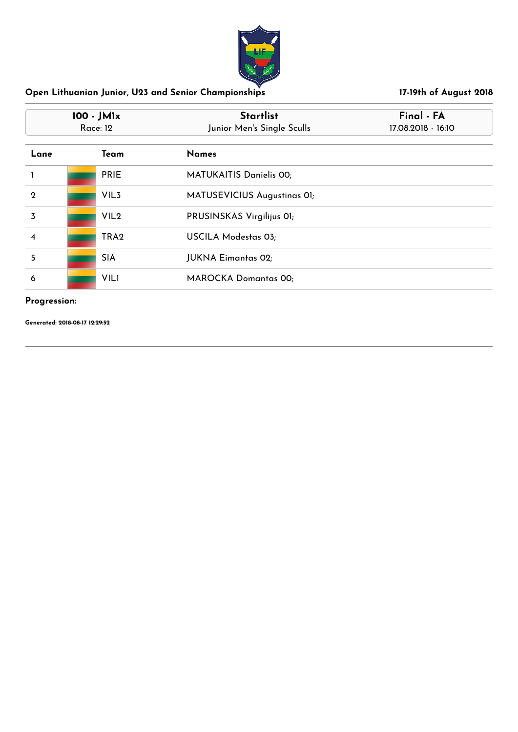

| 100 - JM1x<br>Race: 12 |                  | <b>Startlist</b><br>Junior Men's Single Sculls | Final - FA<br>17.08.2018 - 16:10 |
|------------------------|------------------|------------------------------------------------|----------------------------------|
| Lane                   | Team             | <b>Names</b>                                   |                                  |
|                        | <b>PRIE</b>      | <b>MATUKAITIS Danielis 00;</b>                 |                                  |
| $\mathbf{2}$           | VIL <sub>3</sub> | MATUSEVICIUS Augustinas OI;                    |                                  |
| 3                      | VIL <sub>2</sub> | PRUSINSKAS Virgilijus OI;                      |                                  |
| $\overline{\bf 4}$     | TRA <sub>2</sub> | USCILA Modestas 03;                            |                                  |
| 5                      | <b>SIA</b>       | <b>JUKNA Eimantas 02;</b>                      |                                  |
| 6                      | <b>VIL1</b>      | <b>MAROCKA Domantas 00;</b>                    |                                  |

### **Progression:**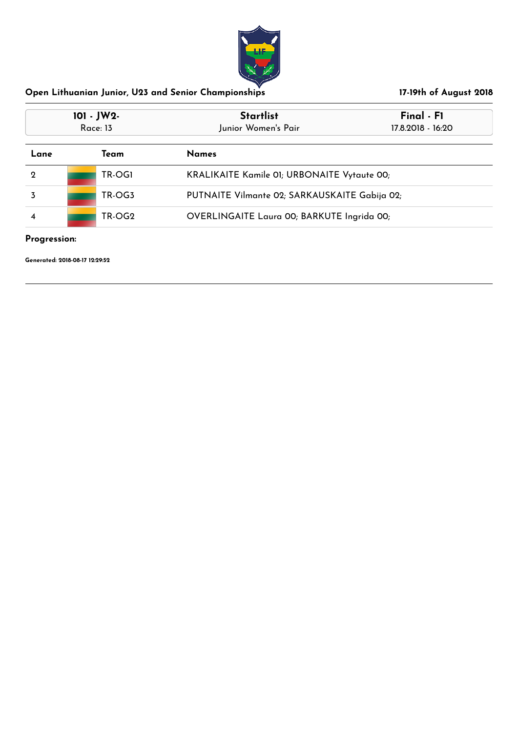

| 101 - JW2-<br><b>Race: 13</b> |  |        | <b>Startlist</b><br>Junior Women's Pair            | Final - F1<br>17.8.2018 - 16:20 |  |
|-------------------------------|--|--------|----------------------------------------------------|---------------------------------|--|
| Team<br>Lane                  |  |        | <b>Names</b>                                       |                                 |  |
| $\mathbf 2$                   |  | TR-OGI | <b>KRALIKAITE Kamile 01; URBONAITE Vytaute 00;</b> |                                 |  |
|                               |  | TR-OG3 | PUTNAITE Vilmante 02; SARKAUSKAITE Gabija 02;      |                                 |  |
| TR-OG2<br>4                   |  |        | OVERLINGAITE Laura 00; BARKUTE Ingrida 00;         |                                 |  |

**Progression:**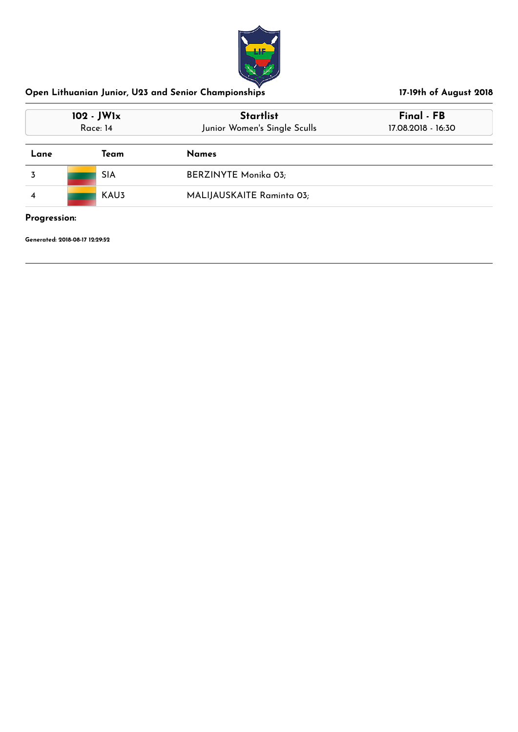

| 102 - JW1x<br>Race: 14 | <b>Startlist</b><br>Junior Women's Single Sculls | Final - FB<br>17.08.2018 - 16:30 |  |
|------------------------|--------------------------------------------------|----------------------------------|--|
| Team                   | <b>Names</b>                                     |                                  |  |
| <b>SIA</b>             | <b>BERZINYTE Monika 03;</b>                      |                                  |  |
| KAU3                   | MALIJAUSKAITE Raminta 03;                        |                                  |  |
|                        |                                                  |                                  |  |

### **Progression:**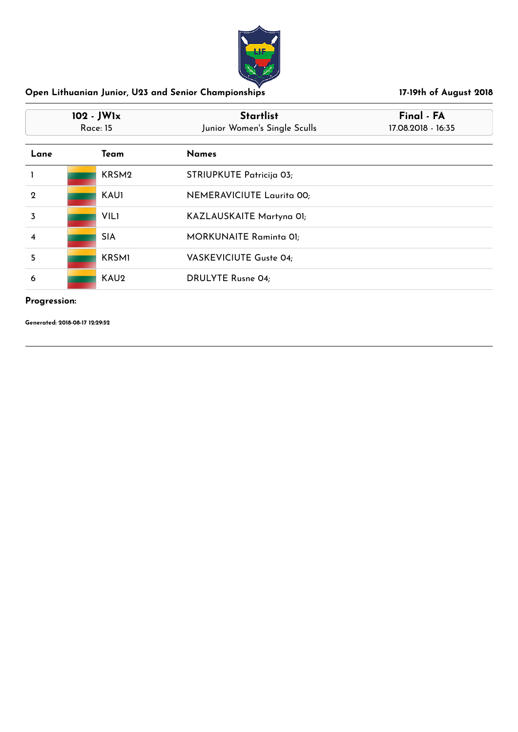

| 102 - JW1x<br><b>Race: 15</b> |                   | <b>Startlist</b><br>Junior Women's Single Sculls | Final - FA<br>17.08.2018 - 16:35 |
|-------------------------------|-------------------|--------------------------------------------------|----------------------------------|
| Lane                          | Team              | <b>Names</b>                                     |                                  |
|                               | KRSM <sub>2</sub> | STRIUPKUTE Patricija 03;                         |                                  |
| $\mathbf 2$                   | <b>KAU1</b>       | NEMERAVICIUTE Laurita 00;                        |                                  |
| 3                             | <b>VILI</b>       | KAZLAUSKAITE Martyna 01;                         |                                  |
| 4                             | <b>SIA</b>        | <b>MORKUNAITE Raminta 01;</b>                    |                                  |
| 5                             | <b>KRSMI</b>      | VASKEVICIUTE Guste 04;                           |                                  |
| 6                             | KAU <sub>2</sub>  | <b>DRULYTE Rusne 04;</b>                         |                                  |

### **Progression:**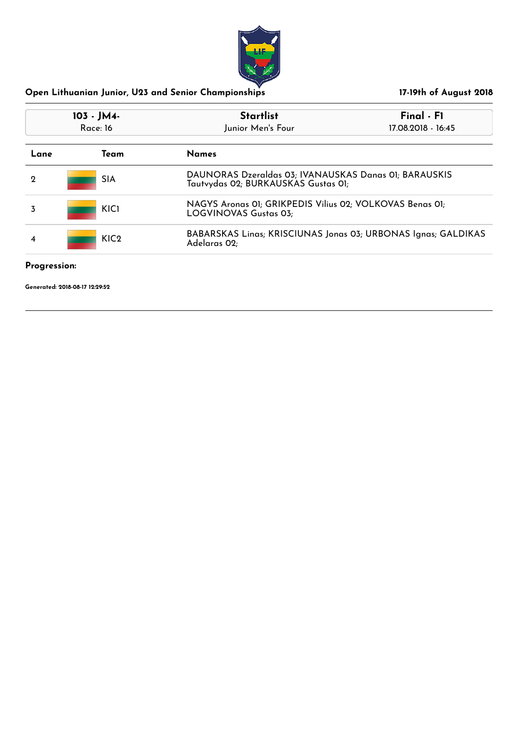

| 103 - JM4-<br>Race: 16       |                  | <b>Startlist</b><br>Junior Men's Four                                                        | $Final - FI$<br>17.08.2018 - 16:45 |
|------------------------------|------------------|----------------------------------------------------------------------------------------------|------------------------------------|
| <b>Names</b><br>Team<br>Lane |                  |                                                                                              |                                    |
| 2                            | <b>SIA</b>       | DAUNORAS Dzeraldas 03; IVANAUSKAS Danas 01; BARAUSKIS<br>Tautvydas 02; BURKAUSKAS Gustas 01; |                                    |
|                              | <b>KICI</b>      | NAGYS Aronas 01; GRIKPEDIS Vilius 02; VOLKOVAS Benas 01;<br>LOGVINOVAS Gustas 03;            |                                    |
| 4                            | KIC <sub>2</sub> | BABARSKAS Linas; KRISCIUNAS Jonas 03; URBONAS Ignas; GALDIKAS<br>Adelaras 02;                |                                    |

### **Progression:**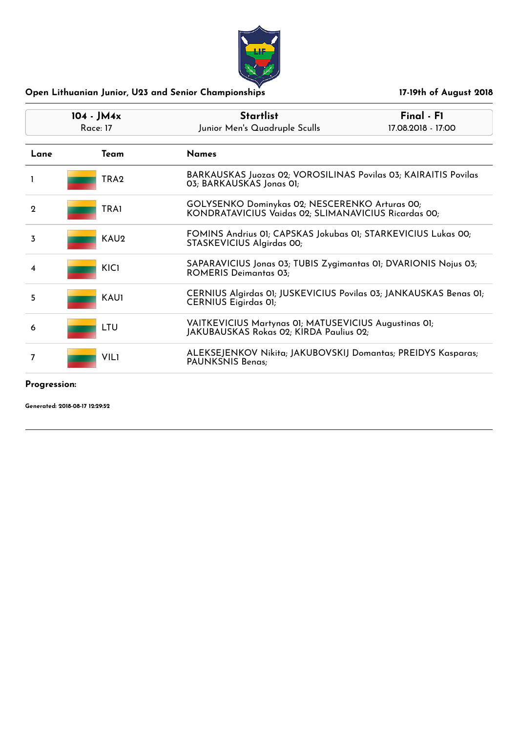

| $104 - JM4x$<br>Race: 17 |                  | <b>Startlist</b><br>Junior Men's Quadruple Sculls                                                      | $Final - FI$<br>17.08.2018 - 17:00 |
|--------------------------|------------------|--------------------------------------------------------------------------------------------------------|------------------------------------|
| Lane                     | Team             | <b>Names</b>                                                                                           |                                    |
| ı                        | TRA2             | BARKAUSKAS Juozas 02; VOROSILINAS Povilas 03; KAIRAITIS Povilas<br>03; BARKAUSKAS Jonas 01;            |                                    |
| $\mathbf 2$              | <b>TRA1</b>      | GOLYSENKO Dominykas 02; NESCERENKO Arturas 00;<br>KONDRATAVICIUS Vaidas 02; SLIMANAVICIUS Ricardas 00; |                                    |
| 3                        | KAU <sub>2</sub> | FOMINS Andrius 01; CAPSKAS Jokubas 01; STARKEVICIUS Lukas 00;<br>STASKEVICIUS Algirdas 00;             |                                    |
| 4                        | KIC1             | SAPARAVICIUS Jonas 03; TUBIS Zygimantas 01; DVARIONIS Nojus 03;<br><b>ROMERIS Deimantas 03;</b>        |                                    |
| 5                        | KAU1             | CERNIUS Algirdas 01; JUSKEVICIUS Povilas 03; JANKAUSKAS Benas 01;<br><b>CERNIUS Eigirdas OI;</b>       |                                    |
| 6                        | LTU              | VAITKEVICIUS Martynas 01; MATUSEVICIUS Augustinas 01;<br>JAKUBAUSKAS Rokas 02; KIRDA Paulius 02;       |                                    |
| 7                        | <b>VIL1</b>      | ALEKSEJENKOV Nikita; JAKUBOVSKIJ Domantas; PREIDYS Kasparas;<br>PAUNKSNIS Benas;                       |                                    |

### **Progression:**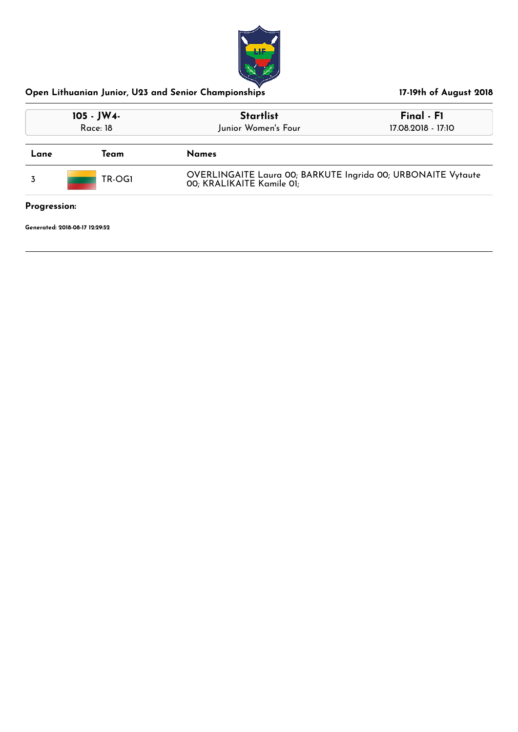

| 105 - JW4-<br>Race: 18    |      | <b>Startlist</b><br>Junior Women's Four                                                   | Final - F1<br>17.08.2018 - 17:10 |  |
|---------------------------|------|-------------------------------------------------------------------------------------------|----------------------------------|--|
| Lane                      | Team | <b>Names</b>                                                                              |                                  |  |
| TR-OG1                    |      | OVERLINGAITE Laura 00; BARKUTE Ingrida 00; URBONAITE Vytaute<br>00; KRALIKAITE Kamile 01; |                                  |  |
| $\mathbf{D}_{\text{max}}$ |      |                                                                                           |                                  |  |

**Progression:**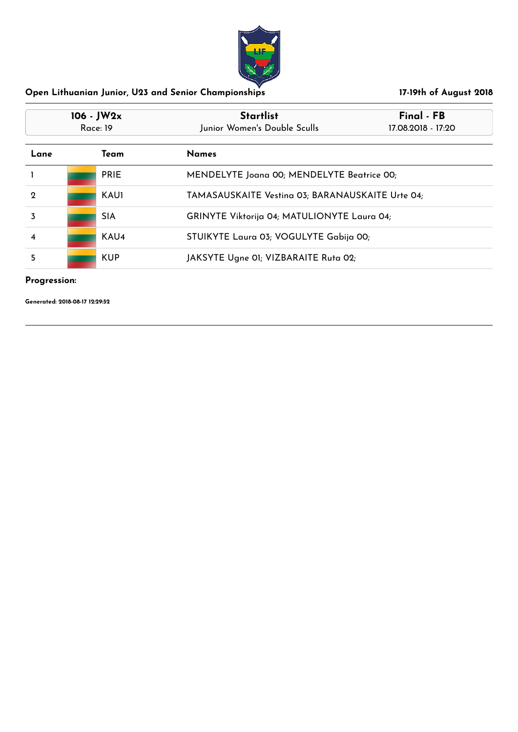

| $106 - JW2x$<br>Race: 19     |             | <b>Startlist</b><br>Junior Women's Double Sculls | Final - FB<br>17.08.2018 - 17:20                 |  |
|------------------------------|-------------|--------------------------------------------------|--------------------------------------------------|--|
| <b>Names</b><br>Lane<br>Team |             |                                                  |                                                  |  |
|                              | <b>PRIE</b> | MENDELYTE Joana 00; MENDELYTE Beatrice 00;       |                                                  |  |
| $\mathbf 2$                  | <b>KAU1</b> |                                                  | TAMASAUSKAITE Vesting 03; BARANAUSKAITE Urte 04; |  |
| 3                            | <b>SIA</b>  |                                                  | GRINYTE Viktorija 04; MATULIONYTE Laura 04;      |  |
| 4                            | KAU4        | STUIKYTE Laura 03; VOGULYTE Gabija 00;           |                                                  |  |
| 5                            | <b>KUP</b>  | JAKSYTE Ugne 01; VIZBARAITE Ruta 02;             |                                                  |  |

## **Progression:**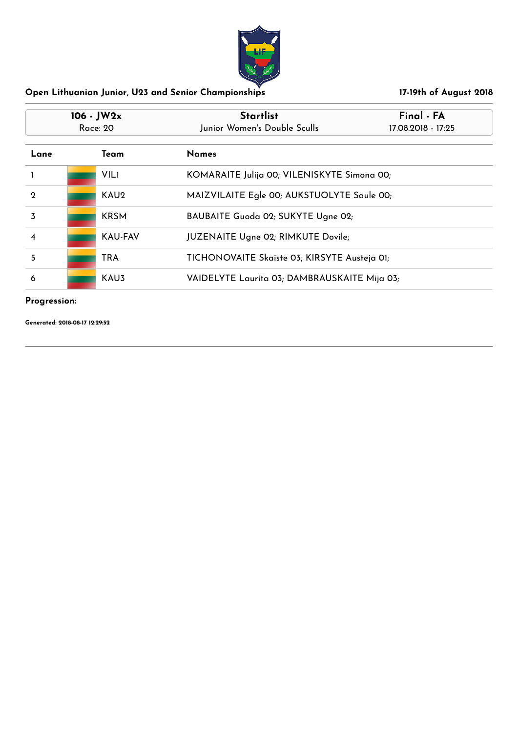

| $106 - JW2x$<br>Race: 20 |  |                  | <b>Startlist</b><br>Final - FA<br>Junior Women's Double Sculls<br>17.08.2018 - 17:25 |                                             |  |
|--------------------------|--|------------------|--------------------------------------------------------------------------------------|---------------------------------------------|--|
| Lane<br>Team             |  |                  | <b>Names</b>                                                                         |                                             |  |
|                          |  | <b>VILI</b>      |                                                                                      | KOMARAITE Julija 00; VILENISKYTE Simona 00; |  |
| $\mathbf 2$              |  | KAU <sub>2</sub> |                                                                                      | MAIZVILAITE Egle 00; AUKSTUOLYTE Saule 00;  |  |
| 3                        |  | <b>KRSM</b>      |                                                                                      | BAUBAITE Guoda 02; SUKYTE Ugne 02;          |  |
| $\overline{\mathbf{4}}$  |  | <b>KAU-FAV</b>   | <b>JUZENAITE Ugne 02; RIMKUTE Dovile;</b>                                            |                                             |  |
| 5                        |  | <b>TRA</b>       | TICHONOVAITE Skaiste 03; KIRSYTE Austeja 01;                                         |                                             |  |
| 6                        |  | KAU3             | VAIDELYTE Laurita 03; DAMBRAUSKAITE Mija 03;                                         |                                             |  |

### **Progression:**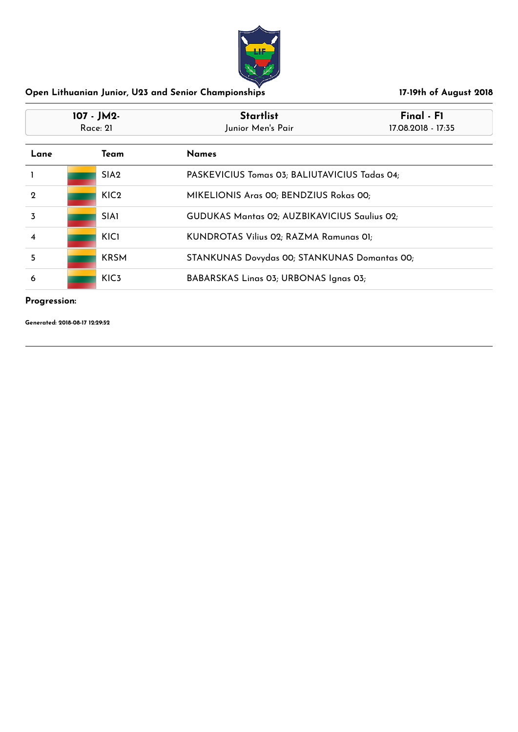

| 107 - JM2-<br>Race: 21  |  |                  | <b>Startlist</b><br>Junior Men's Pair        | Final - F1<br>17.08.2018 - 17:35              |  |
|-------------------------|--|------------------|----------------------------------------------|-----------------------------------------------|--|
| Lane                    |  | Team             | <b>Names</b>                                 |                                               |  |
|                         |  | SIA <sub>2</sub> |                                              | PASKEVICIUS Tomas 03; BALIUTAVICIUS Tadas 04; |  |
| $\mathbf 2$             |  | KIC <sub>2</sub> |                                              | MIKELIONIS Aras 00; BENDZIUS Rokas 00;        |  |
| 3                       |  | <b>SIA1</b>      |                                              | GUDUKAS Mantas 02; AUZBIKAVICIUS Saulius 02;  |  |
| $\overline{\mathbf{4}}$ |  | KIC1             |                                              | KUNDROTAS Vilius 02; RAZMA Ramunas 01;        |  |
| 5                       |  | <b>KRSM</b>      | STANKUNAS Dovydas 00; STANKUNAS Domantas 00; |                                               |  |
| 6                       |  | KIC <sub>3</sub> | BABARSKAS Linas 03; URBONAS Ignas 03;        |                                               |  |

### **Progression:**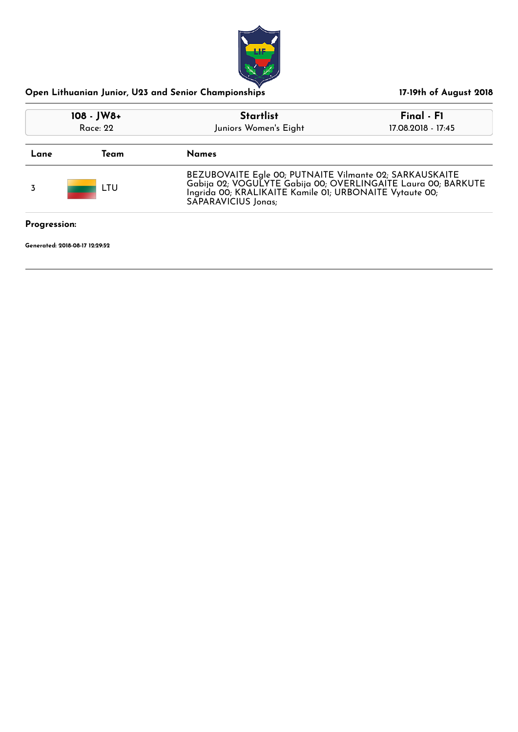

| Open Lithuanian Junior, U23 and Senior Championships |
|------------------------------------------------------|
|------------------------------------------------------|

| $108 - JW8+$<br>Race: 22       |  | <b>Startlist</b><br>Juniors Women's Eight                                                                                                                                                                  | Final - F1<br>17.08.2018 - 17:45 |  |
|--------------------------------|--|------------------------------------------------------------------------------------------------------------------------------------------------------------------------------------------------------------|----------------------------------|--|
|                                |  |                                                                                                                                                                                                            |                                  |  |
| LTU                            |  | BEZUBOVAITE Egle 00; PUTNAITE Vilmante 02; SARKAUSKAITE<br>Gabija 02; VOGUĽYTE Gabija 00; OVERLINGAÍTE Laura 00; BARKUTE<br>Ingrida 00; KRALIKAITE Kamile 01; URBONAITE Vytaute 00;<br>SAPARAVICIUS Jonas; |                                  |  |
| Progression:                   |  |                                                                                                                                                                                                            |                                  |  |
| Generated: 2018-08-17 12:29:52 |  |                                                                                                                                                                                                            |                                  |  |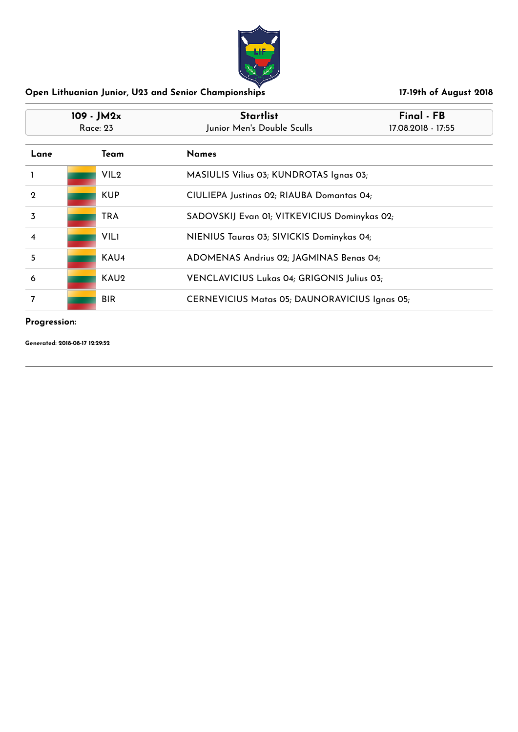

| $109 - JM2x$<br>Race: 23 |  |                  | <b>Startlist</b><br>Final - FB<br>Junior Men's Double Sculls<br>17.08.2018 - 17:55 |  |
|--------------------------|--|------------------|------------------------------------------------------------------------------------|--|
| Lane                     |  | Team             | <b>Names</b>                                                                       |  |
|                          |  | VIL <sub>2</sub> | MASIULIS Vilius 03; KUNDROTAS Ignas 03;                                            |  |
| $\mathbf 2$              |  | <b>KUP</b>       | CIULIEPA Justinas 02; RIAUBA Domantas 04;                                          |  |
| 3                        |  | <b>TRA</b>       | SADOVSKIJ Evan 01; VITKEVICIUS Dominykas 02;                                       |  |
| 4                        |  | <b>VIL1</b>      | NIENIUS Tauras 03; SIVICKIS Dominykas 04;                                          |  |
| 5                        |  | KAU <sub>4</sub> | ADOMENAS Andrius 02; JAGMINAS Benas 04;                                            |  |
| 6                        |  | KAU2             | VENCLAVICIUS Lukas 04; GRIGONIS Julius 03;                                         |  |
| 7                        |  | <b>BIR</b>       | CERNEVICIUS Matas 05; DAUNORAVICIUS Ignas 05;                                      |  |

### **Progression:**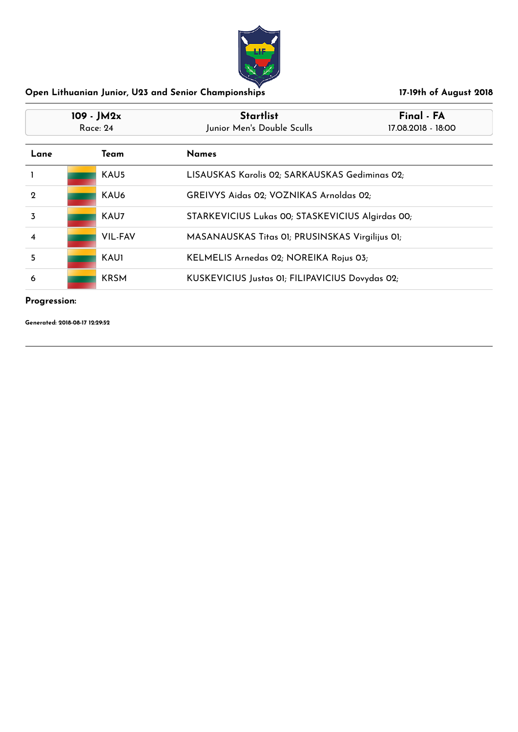

| $109 - JM2x$<br>Race: 24 |  |                  | <b>Startlist</b><br>Junior Men's Double Sculls   | Final - FA<br>17.08.2018 - 18:00 |
|--------------------------|--|------------------|--------------------------------------------------|----------------------------------|
| Lane                     |  | Team             | <b>Names</b>                                     |                                  |
|                          |  | KAU5             | LISAUSKAS Karolis 02; SARKAUSKAS Gediminas 02;   |                                  |
| $\mathbf 2$              |  | KAU <sub>6</sub> | GREIVYS Aidas 02; VOZNIKAS Arnoldas 02;          |                                  |
| 3                        |  | KAU7             | STARKEVICIUS Lukas 00; STASKEVICIUS Algirdas 00; |                                  |
| $\overline{\mathbf{4}}$  |  | VIL-FAV          | MASANAUSKAS Titas 01; PRUSINSKAS Virgilijus 01;  |                                  |
| 5                        |  | <b>KAU1</b>      | KELMELIS Arnedas 02; NOREIKA Rojus 03;           |                                  |
| 6                        |  | <b>KRSM</b>      | KUSKEVICIUS Justas 01; FILIPAVICIUS Dovydas 02;  |                                  |

### **Progression:**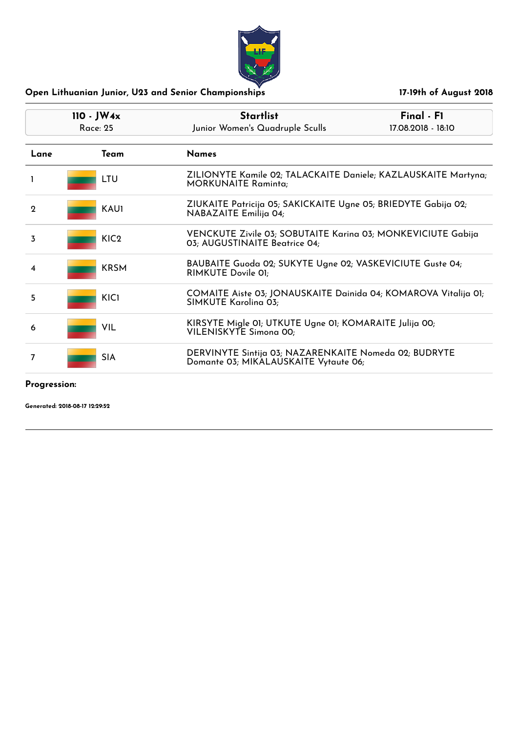| $110 - JW4x$<br>Race: 25 |                  | <b>Startlist</b><br>Junior Women's Quadruple Sculls                                            | Final - F1<br>17.08.2018 - 18:10 |
|--------------------------|------------------|------------------------------------------------------------------------------------------------|----------------------------------|
| Lane                     | Team             | <b>Names</b>                                                                                   |                                  |
| L                        | LTU              | ZILIONYTE Kamile 02; TALACKAITE Daniele; KAZLAUSKAITE Martyna;<br><b>MORKUNAITE Raminta;</b>   |                                  |
| $\mathbf 2$              | KAU1             | ZIUKAITE Patricija 05; SAKICKAITE Ugne 05; BRIEDYTE Gabija 02;<br>NABAZAITE Emilija 04;        |                                  |
| 3                        | KIC <sub>2</sub> | VENCKUTE Zivile 03; SOBUTAITE Karina 03; MONKEVICIUTE Gabija<br>03; AUGUSTINAITE Beatrice 04;  |                                  |
| 4                        | <b>KRSM</b>      | BAUBAITE Guoda 02; SUKYTE Ugne 02; VASKEVICIUTE Guste 04;<br>RIMKUTE Dovile 01;                |                                  |
| 5                        | <b>KICI</b>      | COMAITE Aiste 03; JONAUSKAITE Dainida 04; KOMAROVA Vitalija 01;<br>SIMKUTE Karolina 03;        |                                  |
| 6                        | VIL              | KIRSYTE Migle 01; UTKUTE Ugne 01; KOMARAITE Julija 00;<br>VILENISKYTE Simona 00;               |                                  |
| 7                        | <b>SIA</b>       | DERVINYTE Sintija 03; NAZARENKAITE Nomeda 02; BUDRYTE<br>Domante 03; MIKALAUSKAITE Vytaute 06; |                                  |

## **Progression:**